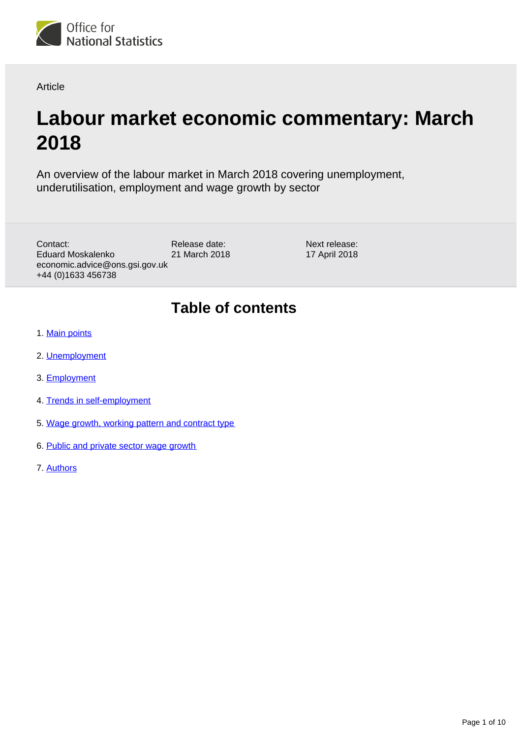

Article

# **Labour market economic commentary: March 2018**

An overview of the labour market in March 2018 covering unemployment, underutilisation, employment and wage growth by sector

Release date: 21 March 2018 Contact: Eduard Moskalenko economic.advice@ons.gsi.gov.uk +44 (0)1633 456738

Next release: 17 April 2018

# **Table of contents**

- 1. [Main points](#page-1-0)
- 2. [Unemployment](#page-1-1)
- 3. [Employment](#page-2-0)
- 4. [Trends in self-employment](#page-3-0)
- 5. [Wage growth, working pattern and contract type](#page-4-0)
- 6. [Public and private sector wage growth](#page-7-0)
- 7. [Authors](#page-9-0)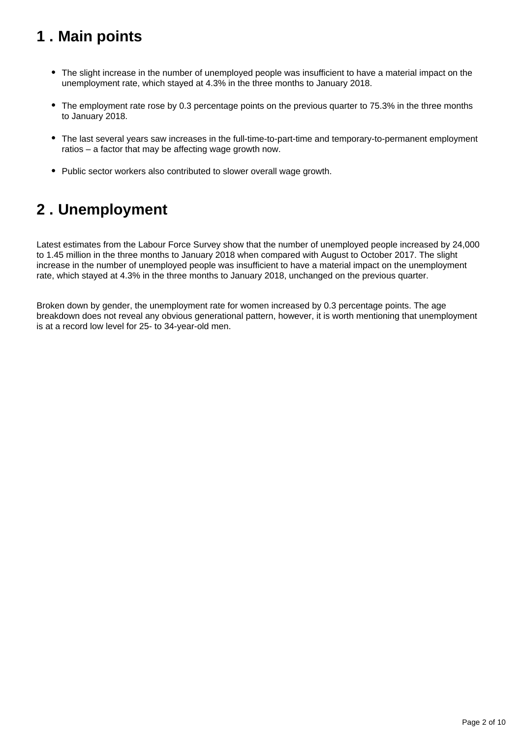# <span id="page-1-0"></span>**1 . Main points**

- The slight increase in the number of unemployed people was insufficient to have a material impact on the unemployment rate, which stayed at 4.3% in the three months to January 2018.
- The employment rate rose by 0.3 percentage points on the previous quarter to 75.3% in the three months to January 2018.
- The last several years saw increases in the full-time-to-part-time and temporary-to-permanent employment ratios – a factor that may be affecting wage growth now.
- Public sector workers also contributed to slower overall wage growth.

# <span id="page-1-1"></span>**2 . Unemployment**

Latest estimates from the Labour Force Survey show that the number of unemployed people increased by 24,000 to 1.45 million in the three months to January 2018 when compared with August to October 2017. The slight increase in the number of unemployed people was insufficient to have a material impact on the unemployment rate, which stayed at 4.3% in the three months to January 2018, unchanged on the previous quarter.

Broken down by gender, the unemployment rate for women increased by 0.3 percentage points. The age breakdown does not reveal any obvious generational pattern, however, it is worth mentioning that unemployment is at a record low level for 25- to 34-year-old men.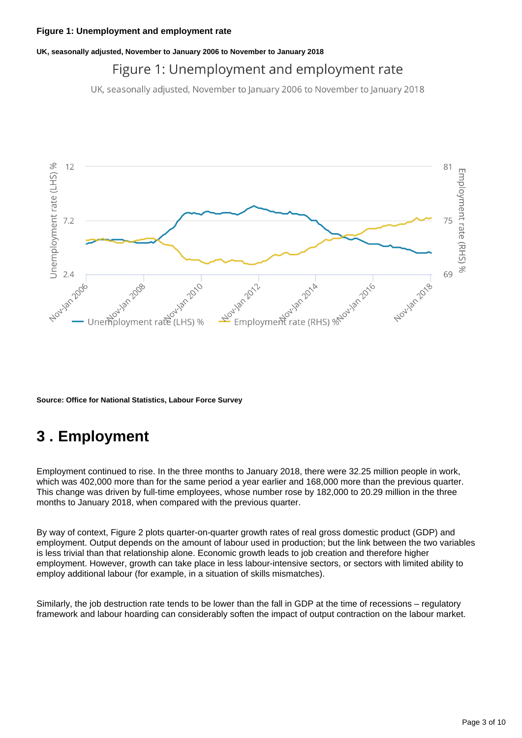**UK, seasonally adjusted, November to January 2006 to November to January 2018**

### Figure 1: Unemployment and employment rate

UK, seasonally adjusted, November to January 2006 to November to January 2018



**Source: Office for National Statistics, Labour Force Survey**

## <span id="page-2-0"></span>**3 . Employment**

Employment continued to rise. In the three months to January 2018, there were 32.25 million people in work, which was 402,000 more than for the same period a year earlier and 168,000 more than the previous quarter. This change was driven by full-time employees, whose number rose by 182,000 to 20.29 million in the three months to January 2018, when compared with the previous quarter.

By way of context, Figure 2 plots quarter-on-quarter growth rates of real gross domestic product (GDP) and employment. Output depends on the amount of labour used in production; but the link between the two variables is less trivial than that relationship alone. Economic growth leads to job creation and therefore higher employment. However, growth can take place in less labour-intensive sectors, or sectors with limited ability to employ additional labour (for example, in a situation of skills mismatches).

Similarly, the job destruction rate tends to be lower than the fall in GDP at the time of recessions – regulatory framework and labour hoarding can considerably soften the impact of output contraction on the labour market.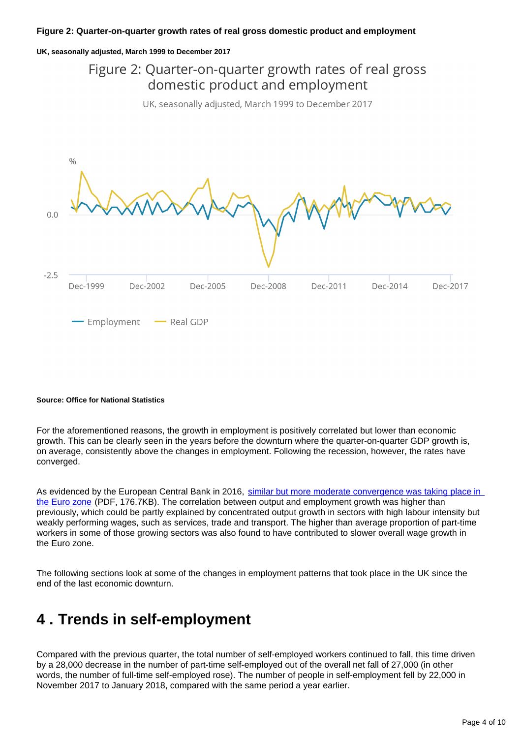#### **Figure 2: Quarter-on-quarter growth rates of real gross domestic product and employment**

#### **UK, seasonally adjusted, March 1999 to December 2017**

### Figure 2: Quarter-on-quarter growth rates of real gross domestic product and employment

UK, seasonally adjusted, March 1999 to December 2017



#### **Source: Office for National Statistics**

For the aforementioned reasons, the growth in employment is positively correlated but lower than economic growth. This can be clearly seen in the years before the downturn where the quarter-on-quarter GDP growth is, on average, consistently above the changes in employment. Following the recession, however, the rates have converged.

As evidenced by the European Central Bank in 2016, [similar but more moderate convergence was taking place in](https://www.ecb.europa.eu/pub/pdf/other/eb201606_article01.en.pdf)  [the Euro zone](https://www.ecb.europa.eu/pub/pdf/other/eb201606_article01.en.pdf) (PDF, 176.7KB). The correlation between output and employment growth was higher than previously, which could be partly explained by concentrated output growth in sectors with high labour intensity but weakly performing wages, such as services, trade and transport. The higher than average proportion of part-time workers in some of those growing sectors was also found to have contributed to slower overall wage growth in the Euro zone.

The following sections look at some of the changes in employment patterns that took place in the UK since the end of the last economic downturn.

### <span id="page-3-0"></span>**4 . Trends in self-employment**

Compared with the previous quarter, the total number of self-employed workers continued to fall, this time driven by a 28,000 decrease in the number of part-time self-employed out of the overall net fall of 27,000 (in other words, the number of full-time self-employed rose). The number of people in self-employment fell by 22,000 in November 2017 to January 2018, compared with the same period a year earlier.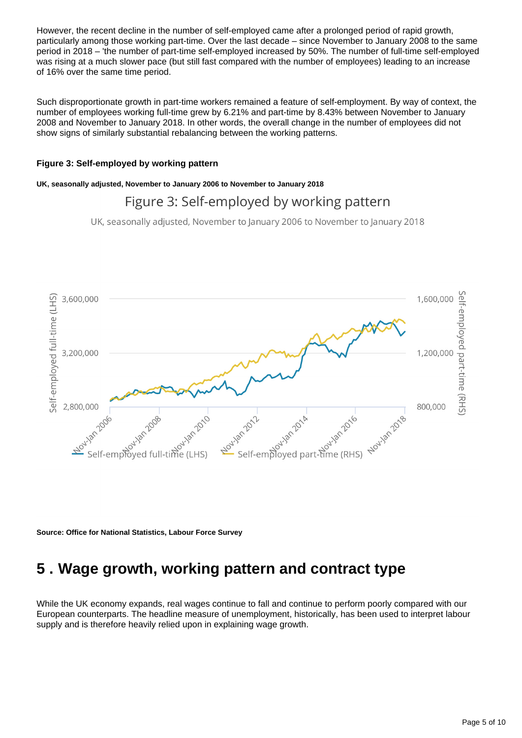However, the recent decline in the number of self-employed came after a prolonged period of rapid growth, particularly among those working part-time. Over the last decade – since November to January 2008 to the same period in 2018 – 'the number of part-time self-employed increased by 50%. The number of full-time self-employed was rising at a much slower pace (but still fast compared with the number of employees) leading to an increase of 16% over the same time period.

Such disproportionate growth in part-time workers remained a feature of self-employment. By way of context, the number of employees working full-time grew by 6.21% and part-time by 8.43% between November to January 2008 and November to January 2018. In other words, the overall change in the number of employees did not show signs of similarly substantial rebalancing between the working patterns.

#### **Figure 3: Self-employed by working pattern**

**UK, seasonally adjusted, November to January 2006 to November to January 2018**

## Figure 3: Self-employed by working pattern

UK, seasonally adjusted, November to January 2006 to November to January 2018



**Source: Office for National Statistics, Labour Force Survey**

## <span id="page-4-0"></span>**5 . Wage growth, working pattern and contract type**

While the UK economy expands, real wages continue to fall and continue to perform poorly compared with our European counterparts. The headline measure of unemployment, historically, has been used to interpret labour supply and is therefore heavily relied upon in explaining wage growth.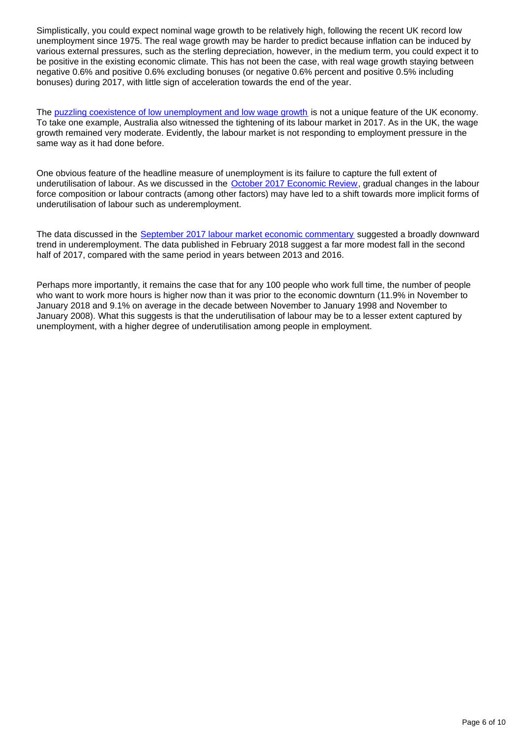Simplistically, you could expect nominal wage growth to be relatively high, following the recent UK record low unemployment since 1975. The real wage growth may be harder to predict because inflation can be induced by various external pressures, such as the sterling depreciation, however, in the medium term, you could expect it to be positive in the existing economic climate. This has not been the case, with real wage growth staying between negative 0.6% and positive 0.6% excluding bonuses (or negative 0.6% percent and positive 0.5% including bonuses) during 2017, with little sign of acceleration towards the end of the year.

The [puzzling coexistence of low unemployment and low wage growth](https://www.ons.gov.uk/employmentandlabourmarket/peopleinwork/employmentandemployeetypes/articles/labourmarketeconomiccommentary/15november2017) is not a unique feature of the UK economy. To take one example, Australia also witnessed the tightening of its labour market in 2017. As in the UK, the wage growth remained very moderate. Evidently, the labour market is not responding to employment pressure in the same way as it had done before.

One obvious feature of the headline measure of unemployment is its failure to capture the full extent of underutilisation of labour. As we discussed in the [October 2017 Economic Review](https://www.ons.gov.uk/economy/nationalaccounts/uksectoraccounts/articles/economicreview/october2017), gradual changes in the labour force composition or labour contracts (among other factors) may have led to a shift towards more implicit forms of underutilisation of labour such as underemployment.

The data discussed in the [September 2017 labour market economic commentary](https://www.ons.gov.uk/employmentandlabourmarket/peopleinwork/employmentandemployeetypes/articles/labourmarketeconomiccommentary/september2017) suggested a broadly downward trend in underemployment. The data published in February 2018 suggest a far more modest fall in the second half of 2017, compared with the same period in years between 2013 and 2016.

Perhaps more importantly, it remains the case that for any 100 people who work full time, the number of people who want to work more hours is higher now than it was prior to the economic downturn (11.9% in November to January 2018 and 9.1% on average in the decade between November to January 1998 and November to January 2008). What this suggests is that the underutilisation of labour may be to a lesser extent captured by unemployment, with a higher degree of underutilisation among people in employment.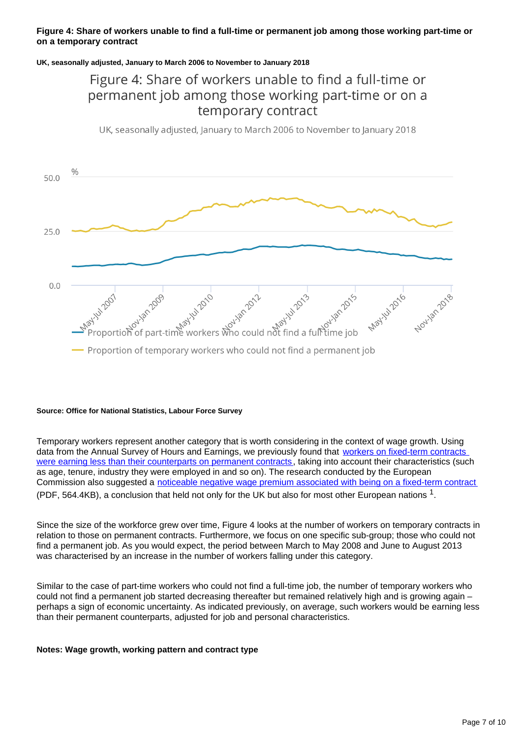#### **Figure 4: Share of workers unable to find a full-time or permanent job among those working part-time or on a temporary contract**

#### **UK, seasonally adjusted, January to March 2006 to November to January 2018**

### Figure 4: Share of workers unable to find a full-time or permanent job among those working part-time or on a temporary contract

UK, seasonally adjusted, January to March 2006 to November to January 2018



#### **Source: Office for National Statistics, Labour Force Survey**

Temporary workers represent another category that is worth considering in the context of wage growth. Using data from the Annual Survey of Hours and Earnings, we previously found that workers on fixed-term contracts [were earning less than their counterparts on permanent contracts](https://www.ons.gov.uk/employmentandlabourmarket/peopleinwork/earningsandworkinghours/articles/analysisoffactorsaffectingearningsusingannualsurveyofhoursandearnings/2016), taking into account their characteristics (such as age, tenure, industry they were employed in and so on). The research conducted by the European Commission also suggested a [noticeable negative wage premium associated with being on a fixed-term contract](http://ec.europa.eu/economy_finance/publications/economic_paper/2015/pdf/ecp544_en.pdf) (PDF, 564.4KB), a conclusion that held not only for the UK but also for most other European nations  $^1$ .

Since the size of the workforce grew over time, Figure 4 looks at the number of workers on temporary contracts in relation to those on permanent contracts. Furthermore, we focus on one specific sub-group; those who could not find a permanent job. As you would expect, the period between March to May 2008 and June to August 2013 was characterised by an increase in the number of workers falling under this category.

Similar to the case of part-time workers who could not find a full-time job, the number of temporary workers who could not find a permanent job started decreasing thereafter but remained relatively high and is growing again – perhaps a sign of economic uncertainty. As indicated previously, on average, such workers would be earning less than their permanent counterparts, adjusted for job and personal characteristics.

#### **Notes: Wage growth, working pattern and contract type**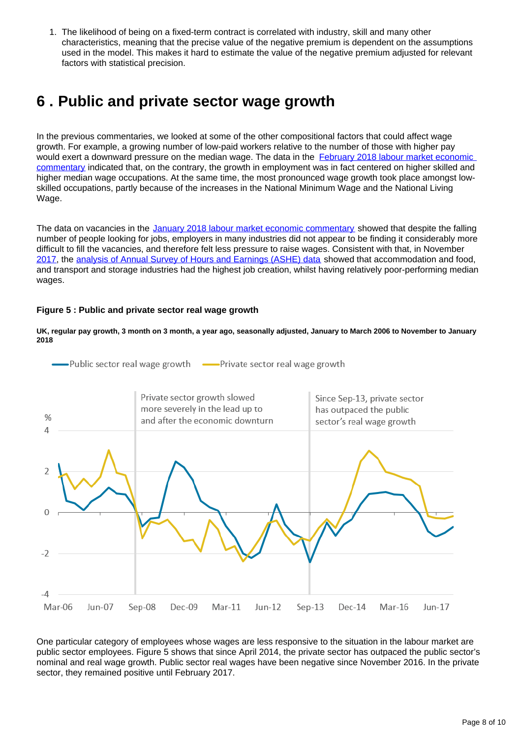1. The likelihood of being on a fixed-term contract is correlated with industry, skill and many other characteristics, meaning that the precise value of the negative premium is dependent on the assumptions used in the model. This makes it hard to estimate the value of the negative premium adjusted for relevant factors with statistical precision.

## <span id="page-7-0"></span>**6 . Public and private sector wage growth**

In the previous commentaries, we looked at some of the other compositional factors that could affect wage growth. For example, a growing number of low-paid workers relative to the number of those with higher pay would exert a downward pressure on the median wage. The data in the February 2018 labour market economic [commentary](https://www.ons.gov.uk/employmentandlabourmarket/peopleinwork/employmentandemployeetypes/articles/labourmarketeconomiccommentary/february2018) indicated that, on the contrary, the growth in employment was in fact centered on higher skilled and higher median wage occupations. At the same time, the most pronounced wage growth took place amongst lowskilled occupations, partly because of the increases in the National Minimum Wage and the National Living Wage.

The data on vacancies in the [January 2018 labour market economic commentary](https://www.ons.gov.uk/employmentandlabourmarket/peopleinwork/employmentandemployeetypes/articles/labourmarketeconomiccommentary/january2018) showed that despite the falling number of people looking for jobs, employers in many industries did not appear to be finding it considerably more difficult to fill the vacancies, and therefore felt less pressure to raise wages. Consistent with that, in November [2017](https://www.ons.gov.uk/employmentandlabourmarket/peopleinwork/employmentandemployeetypes/articles/labourmarketeconomiccommentary/15november2017), the [analysis of Annual Survey of Hours and Earnings \(ASHE\) data](https://www.ons.gov.uk/employmentandlabourmarket/peopleinwork/employmentandemployeetypes/articles/labourmarketeconomiccommentary/15november2017) showed that accommodation and food, and transport and storage industries had the highest job creation, whilst having relatively poor-performing median wages.

#### **Figure 5 : Public and private sector real wage growth**



**UK, regular pay growth, 3 month on 3 month, a year ago, seasonally adjusted, January to March 2006 to November to January 2018**

One particular category of employees whose wages are less responsive to the situation in the labour market are public sector employees. Figure 5 shows that since April 2014, the private sector has outpaced the public sector's nominal and real wage growth. Public sector real wages have been negative since November 2016. In the private sector, they remained positive until February 2017.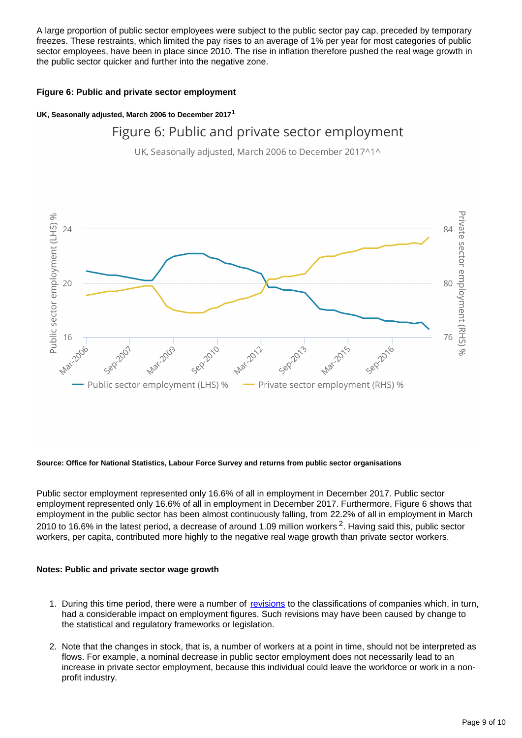A large proportion of public sector employees were subject to the public sector pay cap, preceded by temporary freezes. These restraints, which limited the pay rises to an average of 1% per year for most categories of public sector employees, have been in place since 2010. The rise in inflation therefore pushed the real wage growth in the public sector quicker and further into the negative zone.

#### **Figure 6: Public and private sector employment**

#### **UK, Seasonally adjusted, March 2006 to December 2017<sup>1</sup>**

### Figure 6: Public and private sector employment

UK, Seasonally adjusted, March 2006 to December 2017^1^



#### **Source: Office for National Statistics, Labour Force Survey and returns from public sector organisations**

Public sector employment represented only 16.6% of all in employment in December 2017. Public sector employment represented only 16.6% of all in employment in December 2017. Furthermore, Figure 6 shows that employment in the public sector has been almost continuously falling, from 22.2% of all in employment in March 2010 to 16.6% in the latest period, a decrease of around 1.09 million workers  $2$ . Having said this, public sector workers, per capita, contributed more highly to the negative real wage growth than private sector workers.

#### **Notes: Public and private sector wage growth**

- 1. During this time period, there were a number of [revisions](https://www.ons.gov.uk/economy/nationalaccounts/uksectoraccounts/datasets/publicsectorclassificationguide) to the classifications of companies which, in turn, had a considerable impact on employment figures. Such revisions may have been caused by change to the statistical and regulatory frameworks or legislation.
- 2. Note that the changes in stock, that is, a number of workers at a point in time, should not be interpreted as flows. For example, a nominal decrease in public sector employment does not necessarily lead to an increase in private sector employment, because this individual could leave the workforce or work in a nonprofit industry.